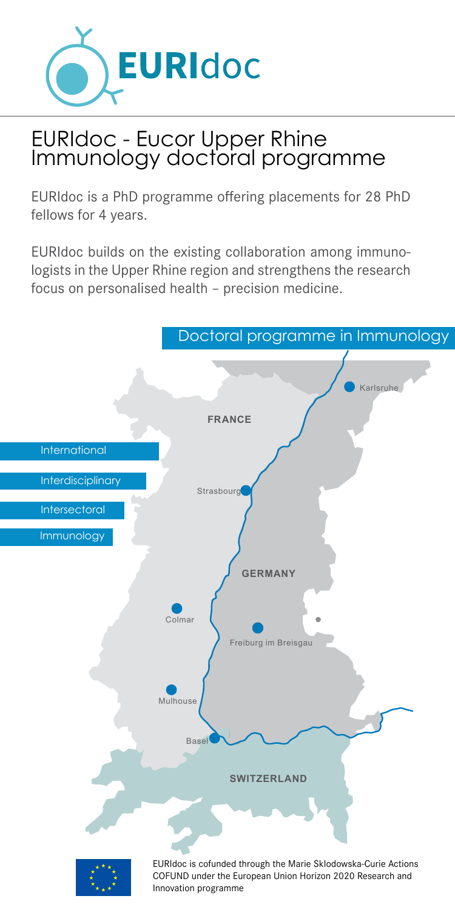

## EURIdoc - Eucor Upper Rhine Immunology doctoral programme

EURIdoc is a PhD programme offering placements for 28 PhD fellows for 4 years.

EURIdoc builds on the existing collaboration among immunologists in the Upper Rhine region and strengthens the research focus on personalised health – precision medicine.